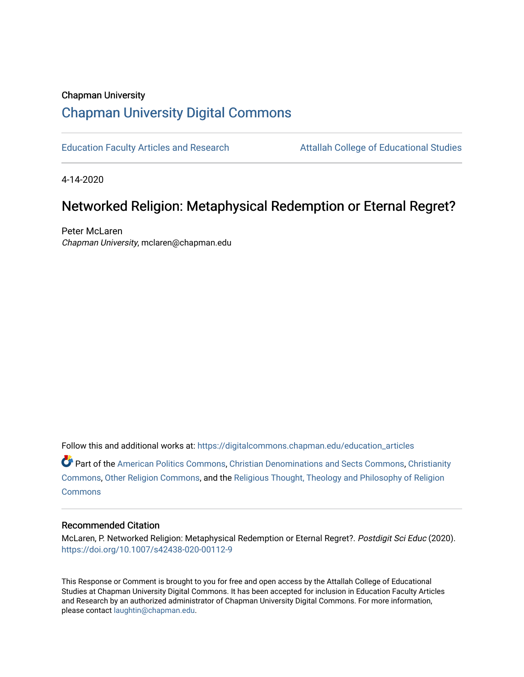## Chapman University [Chapman University Digital Commons](https://digitalcommons.chapman.edu/)

[Education Faculty Articles and Research](https://digitalcommons.chapman.edu/education_articles) [Attallah College of Educational Studies](https://digitalcommons.chapman.edu/ces) 

4-14-2020

# Networked Religion: Metaphysical Redemption or Eternal Regret?

Peter McLaren Chapman University, mclaren@chapman.edu

Follow this and additional works at: [https://digitalcommons.chapman.edu/education\\_articles](https://digitalcommons.chapman.edu/education_articles?utm_source=digitalcommons.chapman.edu%2Feducation_articles%2F257&utm_medium=PDF&utm_campaign=PDFCoverPages)

Part of the [American Politics Commons,](http://network.bepress.com/hgg/discipline/387?utm_source=digitalcommons.chapman.edu%2Feducation_articles%2F257&utm_medium=PDF&utm_campaign=PDFCoverPages) [Christian Denominations and Sects Commons,](http://network.bepress.com/hgg/discipline/1184?utm_source=digitalcommons.chapman.edu%2Feducation_articles%2F257&utm_medium=PDF&utm_campaign=PDFCoverPages) [Christianity](http://network.bepress.com/hgg/discipline/1181?utm_source=digitalcommons.chapman.edu%2Feducation_articles%2F257&utm_medium=PDF&utm_campaign=PDFCoverPages) [Commons](http://network.bepress.com/hgg/discipline/1181?utm_source=digitalcommons.chapman.edu%2Feducation_articles%2F257&utm_medium=PDF&utm_campaign=PDFCoverPages), [Other Religion Commons,](http://network.bepress.com/hgg/discipline/545?utm_source=digitalcommons.chapman.edu%2Feducation_articles%2F257&utm_medium=PDF&utm_campaign=PDFCoverPages) and the [Religious Thought, Theology and Philosophy of Religion](http://network.bepress.com/hgg/discipline/544?utm_source=digitalcommons.chapman.edu%2Feducation_articles%2F257&utm_medium=PDF&utm_campaign=PDFCoverPages)  [Commons](http://network.bepress.com/hgg/discipline/544?utm_source=digitalcommons.chapman.edu%2Feducation_articles%2F257&utm_medium=PDF&utm_campaign=PDFCoverPages)

#### Recommended Citation

McLaren, P. Networked Religion: Metaphysical Redemption or Eternal Regret?. Postdigit Sci Educ (2020). <https://doi.org/10.1007/s42438-020-00112-9>

This Response or Comment is brought to you for free and open access by the Attallah College of Educational Studies at Chapman University Digital Commons. It has been accepted for inclusion in Education Faculty Articles and Research by an authorized administrator of Chapman University Digital Commons. For more information, please contact [laughtin@chapman.edu.](mailto:laughtin@chapman.edu)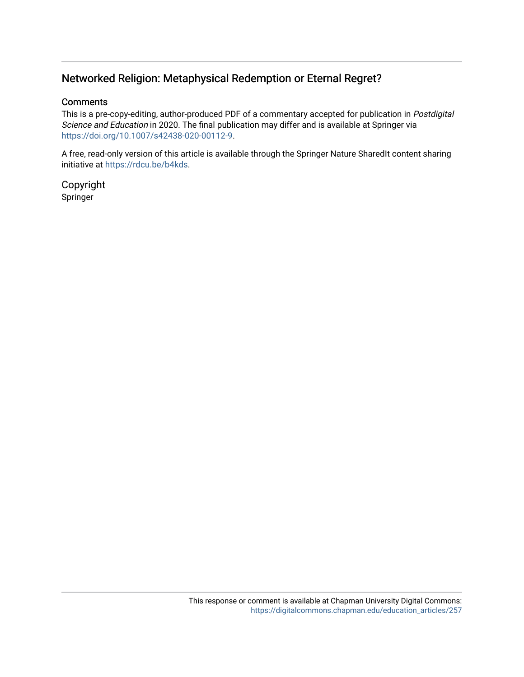### Networked Religion: Metaphysical Redemption or Eternal Regret?

#### **Comments**

This is a pre-copy-editing, author-produced PDF of a commentary accepted for publication in Postdigital Science and Education in 2020. The final publication may differ and is available at Springer via [https://doi.org/10.1007/s42438-020-00112-9.](https://doi.org/10.1007/s42438-020-00112-9)

A free, read-only version of this article is available through the Springer Nature SharedIt content sharing initiative at [https://rdcu.be/b4kds.](https://rdcu.be/b4kds)

Copyright Springer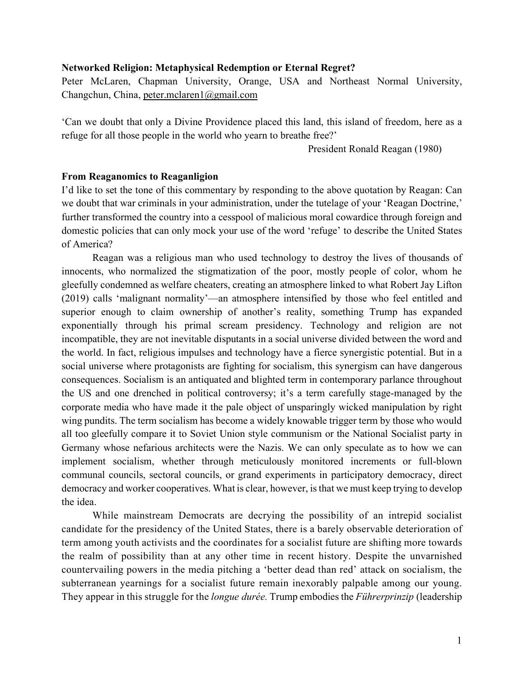#### **Networked Religion: Metaphysical Redemption or Eternal Regret?**

Peter McLaren, Chapman University, Orange, USA and Northeast Normal University, Changchun, China, [peter.mclaren1@gmail.com](mailto:peter.mclaren1@gmail.com)

'Can we doubt that only a Divine Providence placed this land, this island of freedom, here as a refuge for all those people in the world who yearn to breathe free?'

President Ronald Reagan (1980)

#### **From Reaganomics to Reaganligion**

I'd like to set the tone of this commentary by responding to the above quotation by Reagan: Can we doubt that war criminals in your administration, under the tutelage of your 'Reagan Doctrine,' further transformed the country into a cesspool of malicious moral cowardice through foreign and domestic policies that can only mock your use of the word 'refuge' to describe the United States of America?

Reagan was a religious man who used technology to destroy the lives of thousands of innocents, who normalized the stigmatization of the poor, mostly people of color, whom he gleefully condemned as welfare cheaters, creating an atmosphere linked to what Robert Jay Lifton (2019) calls 'malignant normality'—an atmosphere intensified by those who feel entitled and superior enough to claim ownership of another's reality, something Trump has expanded exponentially through his primal scream presidency. Technology and religion are not incompatible, they are not inevitable disputants in a social universe divided between the word and the world. In fact, religious impulses and technology have a fierce synergistic potential. But in a social universe where protagonists are fighting for socialism, this synergism can have dangerous consequences. Socialism is an antiquated and blighted term in contemporary parlance throughout the US and one drenched in political controversy; it's a term carefully stage-managed by the corporate media who have made it the pale object of unsparingly wicked manipulation by right wing pundits. The term socialism has become a widely knowable trigger term by those who would all too gleefully compare it to Soviet Union style communism or the National Socialist party in Germany whose nefarious architects were the Nazis. We can only speculate as to how we can implement socialism, whether through meticulously monitored increments or full-blown communal councils, sectoral councils, or grand experiments in participatory democracy, direct democracy and worker cooperatives. What is clear, however, is that we must keep trying to develop the idea.

While mainstream Democrats are decrying the possibility of an intrepid socialist candidate for the presidency of the United States, there is a barely observable deterioration of term among youth activists and the coordinates for a socialist future are shifting more towards the realm of possibility than at any other time in recent history. Despite the unvarnished countervailing powers in the media pitching a 'better dead than red' attack on socialism, the subterranean yearnings for a socialist future remain inexorably palpable among our young. They appear in this struggle for the *longue durée.* Trump embodies the *Führerprinzip* (leadership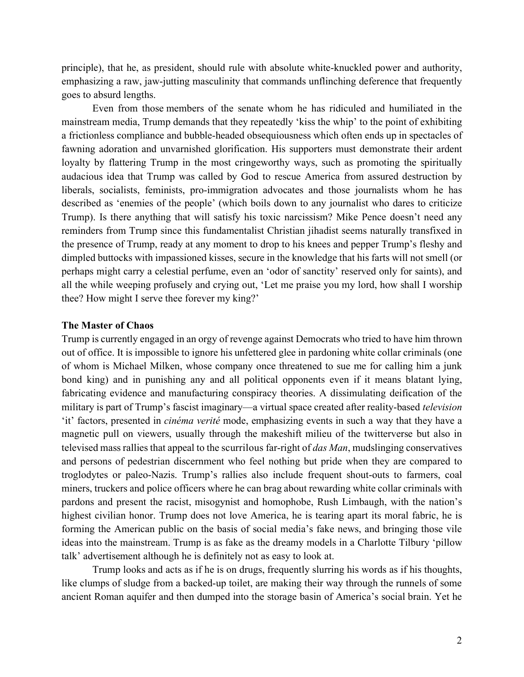principle), that he, as president, should rule with absolute white-knuckled power and authority, emphasizing a raw, jaw-jutting masculinity that commands unflinching deference that frequently goes to absurd lengths.

Even from those members of the senate whom he has ridiculed and humiliated in the mainstream media, Trump demands that they repeatedly 'kiss the whip' to the point of exhibiting a frictionless compliance and bubble-headed obsequiousness which often ends up in spectacles of fawning adoration and unvarnished glorification. His supporters must demonstrate their ardent loyalty by flattering Trump in the most cringeworthy ways, such as promoting the spiritually audacious idea that Trump was called by God to rescue America from assured destruction by liberals, socialists, feminists, pro-immigration advocates and those journalists whom he has described as 'enemies of the people' (which boils down to any journalist who dares to criticize Trump). Is there anything that will satisfy his toxic narcissism? Mike Pence doesn't need any reminders from Trump since this fundamentalist Christian jihadist seems naturally transfixed in the presence of Trump, ready at any moment to drop to his knees and pepper Trump's fleshy and dimpled buttocks with impassioned kisses, secure in the knowledge that his farts will not smell (or perhaps might carry a celestial perfume, even an 'odor of sanctity' reserved only for saints), and all the while weeping profusely and crying out, 'Let me praise you my lord, how shall I worship thee? How might I serve thee forever my king?'

#### **The Master of Chaos**

Trump is currently engaged in an orgy of revenge against Democrats who tried to have him thrown out of office. It is impossible to ignore his unfettered glee in pardoning white collar criminals (one of whom is Michael Milken, whose company once threatened to sue me for calling him a junk bond king) and in punishing any and all political opponents even if it means blatant lying, fabricating evidence and manufacturing conspiracy theories. A dissimulating deification of the military is part of Trump's fascist imaginary—a virtual space created after reality-based *television* 'it' factors, presented in *cinéma verité* mode, emphasizing events in such a way that they have a magnetic pull on viewers, usually through the makeshift milieu of the twitterverse but also in televised mass rallies that appeal to the scurrilous far-right of *das Man*, mudslinging conservatives and persons of pedestrian discernment who feel nothing but pride when they are compared to troglodytes or paleo-Nazis. Trump's rallies also include frequent shout-outs to farmers, coal miners, truckers and police officers where he can brag about rewarding white collar criminals with pardons and present the racist, misogynist and homophobe, Rush Limbaugh, with the nation's highest civilian honor. Trump does not love America, he is tearing apart its moral fabric, he is forming the American public on the basis of social media's fake news, and bringing those vile ideas into the mainstream. Trump is as fake as the dreamy models in a Charlotte Tilbury 'pillow talk' advertisement although he is definitely not as easy to look at.

Trump looks and acts as if he is on drugs, frequently slurring his words as if his thoughts, like clumps of sludge from a backed-up toilet, are making their way through the runnels of some ancient Roman aquifer and then dumped into the storage basin of America's social brain. Yet he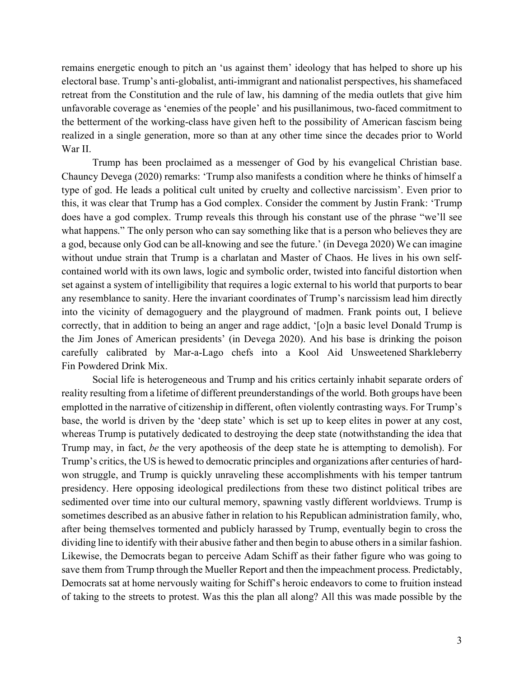remains energetic enough to pitch an 'us against them' ideology that has helped to shore up his electoral base. Trump's anti-globalist, anti-immigrant and nationalist perspectives, his shamefaced retreat from the Constitution and the rule of law, his damning of the media outlets that give him unfavorable coverage as 'enemies of the people' and his pusillanimous, two-faced commitment to the betterment of the working-class have given heft to the possibility of American fascism being realized in a single generation, more so than at any other time since the decades prior to World War II.

Trump has been proclaimed as a messenger of God by his evangelical Christian base. Chauncy Devega (2020) remarks: 'Trump also manifests a condition where he thinks of himself a type of god. He leads a political cult united by cruelty and collective narcissism'. Even prior to this, it was clear that Trump has a God complex. Consider the comment by Justin Frank: 'Trump does have a god complex. Trump reveals this through his constant use of the phrase "we'll see what happens." The only person who can say something like that is a person who believes they are a god, because only God can be all-knowing and see the future.' (in Devega 2020) We can imagine without undue strain that Trump is a charlatan and Master of Chaos. He lives in his own selfcontained world with its own laws, logic and symbolic order, twisted into fanciful distortion when set against a system of intelligibility that requires a logic external to his world that purports to bear any resemblance to sanity. Here the invariant coordinates of Trump's narcissism lead him directly into the vicinity of demagoguery and the playground of madmen. Frank points out, I believe correctly, that in addition to being an anger and rage addict, '[o]n a basic level Donald Trump is the Jim Jones of American presidents' (in Devega 2020). And his base is drinking the poison carefully calibrated by Mar-a-Lago chefs into a Kool Aid Unsweetened Sharkleberry Fin Powdered Drink Mix.

Social life is heterogeneous and Trump and his critics certainly inhabit separate orders of reality resulting from a lifetime of different preunderstandings of the world. Both groups have been emplotted in the narrative of citizenship in different, often violently contrasting ways. For Trump's base, the world is driven by the 'deep state' which is set up to keep elites in power at any cost, whereas Trump is putatively dedicated to destroying the deep state (notwithstanding the idea that Trump may, in fact, *be* the very apotheosis of the deep state he is attempting to demolish). For Trump's critics, the US is hewed to democratic principles and organizations after centuries of hardwon struggle, and Trump is quickly unraveling these accomplishments with his temper tantrum presidency. Here opposing ideological predilections from these two distinct political tribes are sedimented over time into our cultural memory, spawning vastly different worldviews. Trump is sometimes described as an abusive father in relation to his Republican administration family, who, after being themselves tormented and publicly harassed by Trump, eventually begin to cross the dividing line to identify with their abusive father and then begin to abuse others in a similar fashion. Likewise, the Democrats began to perceive Adam Schiff as their father figure who was going to save them from Trump through the Mueller Report and then the impeachment process. Predictably, Democrats sat at home nervously waiting for Schiff's heroic endeavors to come to fruition instead of taking to the streets to protest. Was this the plan all along? All this was made possible by the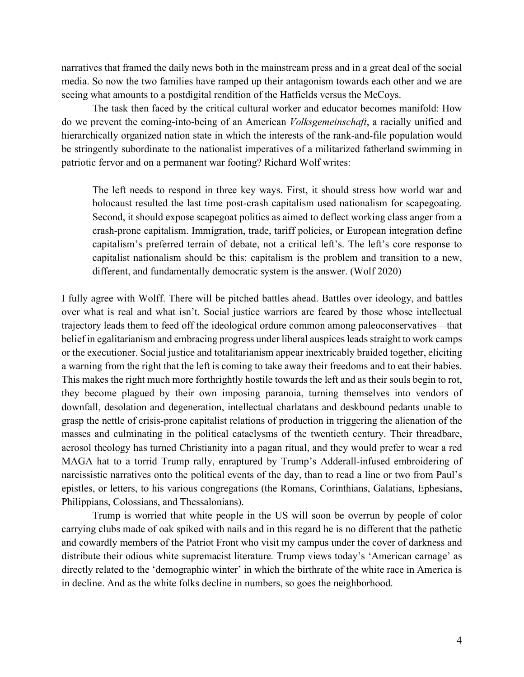narratives that framed the daily news both in the mainstream press and in a great deal of the social media. So now the two families have ramped up their antagonism towards each other and we are seeing what amounts to a postdigital rendition of the Hatfields versus the McCoys.

The task then faced by the critical cultural worker and educator becomes manifold: How do we prevent the coming-into-being of an American *Volksgemeinschaft*, a racially unified and hierarchically organized nation state in which the interests of the rank-and-file population would be stringently subordinate to the nationalist imperatives of a militarized fatherland swimming in patriotic fervor and on a permanent war footing? Richard Wolf writes:

The left needs to respond in three key ways. First, it should stress how world war and holocaust resulted the last time post-crash capitalism used nationalism for scapegoating. Second, it should expose scapegoat politics as aimed to deflect working class anger from a crash-prone capitalism. Immigration, trade, tariff policies, or European integration define capitalism's preferred terrain of debate, not a critical left's. The left's core response to capitalist nationalism should be this: capitalism is the problem and transition to a new, different, and fundamentally democratic system is the answer. (Wolf 2020)

I fully agree with Wolff. There will be pitched battles ahead. Battles over ideology, and battles over what is real and what isn't. Social justice warriors are feared by those whose intellectual trajectory leads them to feed off the ideological ordure common among paleoconservatives—that belief in egalitarianism and embracing progress under liberal auspices leads straight to work camps or the executioner. Social justice and totalitarianism appear inextricably braided together, eliciting a warning from the right that the left is coming to take away their freedoms and to eat their babies. This makes the right much more forthrightly hostile towards the left and as their souls begin to rot, they become plagued by their own imposing paranoia, turning themselves into vendors of downfall, desolation and degeneration, intellectual charlatans and deskbound pedants unable to grasp the nettle of crisis-prone capitalist relations of production in triggering the alienation of the masses and culminating in the political cataclysms of the twentieth century. Their threadbare, aerosol theology has turned Christianity into a pagan ritual, and they would prefer to wear a red MAGA hat to a torrid Trump rally, enraptured by Trump's Adderall-infused embroidering of narcissistic narratives onto the political events of the day, than to read a line or two from Paul's epistles, or letters, to his various congregations (the Romans, Corinthians, Galatians, Ephesians, Philippians, Colossians, and Thessalonians).

Trump is worried that white people in the US will soon be overrun by people of color carrying clubs made of oak spiked with nails and in this regard he is no different that the pathetic and cowardly members of the Patriot Front who visit my campus under the cover of darkness and distribute their odious white supremacist literature*.* Trump views today's 'American carnage' as directly related to the 'demographic winter' in which the birthrate of the white race in America is in decline. And as the white folks decline in numbers, so goes the neighborhood.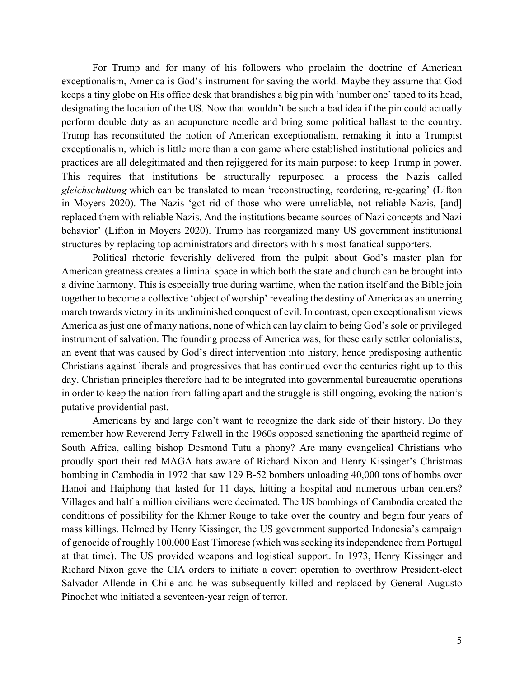For Trump and for many of his followers who proclaim the doctrine of American exceptionalism, America is God's instrument for saving the world. Maybe they assume that God keeps a tiny globe on His office desk that brandishes a big pin with 'number one' taped to its head, designating the location of the US. Now that wouldn't be such a bad idea if the pin could actually perform double duty as an acupuncture needle and bring some political ballast to the country. Trump has reconstituted the notion of American exceptionalism, remaking it into a Trumpist exceptionalism, which is little more than a con game where established institutional policies and practices are all delegitimated and then rejiggered for its main purpose: to keep Trump in power. This requires that institutions be structurally repurposed—a process the Nazis called *gleichschaltung* which can be translated to mean 'reconstructing, reordering, re-gearing' (Lifton in Moyers 2020). The Nazis 'got rid of those who were unreliable, not reliable Nazis, [and] replaced them with reliable Nazis. And the institutions became sources of Nazi concepts and Nazi behavior' (Lifton in Moyers 2020). Trump has reorganized many US government institutional structures by replacing top administrators and directors with his most fanatical supporters.

Political rhetoric feverishly delivered from the pulpit about God's master plan for American greatness creates a liminal space in which both the state and church can be brought into a divine harmony. This is especially true during wartime, when the nation itself and the Bible join together to become a collective 'object of worship' revealing the destiny of America as an unerring march towards victory in its undiminished conquest of evil. In contrast, open exceptionalism views America as just one of many nations, none of which can lay claim to being God's sole or privileged instrument of salvation. The founding process of America was, for these early settler colonialists, an event that was caused by God's direct intervention into history, hence predisposing authentic Christians against liberals and progressives that has continued over the centuries right up to this day. Christian principles therefore had to be integrated into governmental bureaucratic operations in order to keep the nation from falling apart and the struggle is still ongoing, evoking the nation's putative providential past.

Americans by and large don't want to recognize the dark side of their history. Do they remember how Reverend Jerry Falwell in the 1960s opposed sanctioning the apartheid regime of South Africa, calling bishop Desmond Tutu a phony? Are many evangelical Christians who proudly sport their red MAGA hats aware of Richard Nixon and Henry Kissinger's Christmas bombing in Cambodia in 1972 that saw 129 B-52 bombers unloading 40,000 tons of bombs over Hanoi and Haiphong that lasted for 11 days, hitting a hospital and numerous urban centers? Villages and half a million civilians were decimated. The US bombings of Cambodia created the conditions of possibility for the Khmer Rouge to take over the country and begin four years of mass killings. Helmed by Henry Kissinger, the US government supported Indonesia's campaign of genocide of roughly 100,000 East Timorese (which was seeking its independence from Portugal at that time). The US provided weapons and logistical support. In 1973, Henry Kissinger and Richard Nixon gave the CIA orders to initiate a covert operation to overthrow President-elect Salvador Allende in Chile and he was subsequently killed and replaced by General Augusto Pinochet who initiated a seventeen-year reign of terror.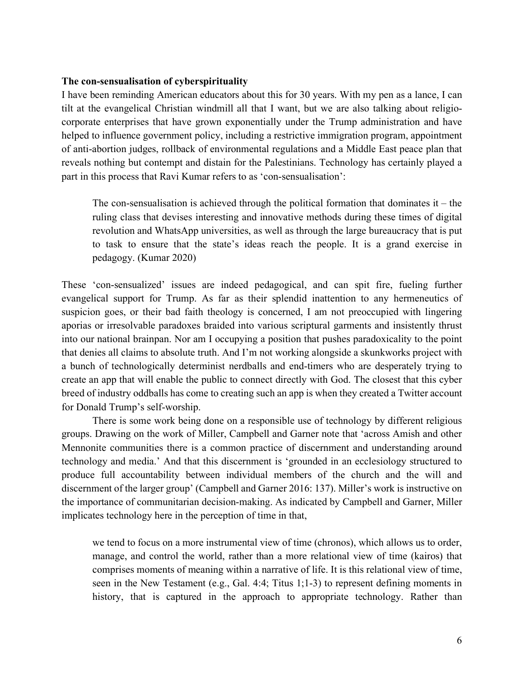#### **The con-sensualisation of cyberspirituality**

I have been reminding American educators about this for 30 years. With my pen as a lance, I can tilt at the evangelical Christian windmill all that I want, but we are also talking about religiocorporate enterprises that have grown exponentially under the Trump administration and have helped to influence government policy, including a restrictive immigration program, appointment of anti-abortion judges, rollback of environmental regulations and a Middle East peace plan that reveals nothing but contempt and distain for the Palestinians. Technology has certainly played a part in this process that Ravi Kumar refers to as 'con-sensualisation':

The con-sensualisation is achieved through the political formation that dominates it – the ruling class that devises interesting and innovative methods during these times of digital revolution and WhatsApp universities, as well as through the large bureaucracy that is put to task to ensure that the state's ideas reach the people. It is a grand exercise in pedagogy. (Kumar 2020)

These 'con-sensualized' issues are indeed pedagogical, and can spit fire, fueling further evangelical support for Trump. As far as their splendid inattention to any hermeneutics of suspicion goes, or their bad faith theology is concerned, I am not preoccupied with lingering aporias or irresolvable paradoxes braided into various scriptural garments and insistently thrust into our national brainpan. Nor am I occupying a position that pushes paradoxicality to the point that denies all claims to absolute truth. And I'm not working alongside a skunkworks project with a bunch of technologically determinist nerdballs and end-timers who are desperately trying to create an app that will enable the public to connect directly with God. The closest that this cyber breed of industry oddballs has come to creating such an app is when they created a Twitter account for Donald Trump's self-worship.

There is some work being done on a responsible use of technology by different religious groups. Drawing on the work of Miller, Campbell and Garner note that 'across Amish and other Mennonite communities there is a common practice of discernment and understanding around technology and media.' And that this discernment is 'grounded in an ecclesiology structured to produce full accountability between individual members of the church and the will and discernment of the larger group' (Campbell and Garner 2016: 137). Miller's work is instructive on the importance of communitarian decision-making. As indicated by Campbell and Garner, Miller implicates technology here in the perception of time in that,

we tend to focus on a more instrumental view of time (chronos), which allows us to order, manage, and control the world, rather than a more relational view of time (kairos) that comprises moments of meaning within a narrative of life. It is this relational view of time, seen in the New Testament (e.g., Gal. 4:4; Titus 1;1-3) to represent defining moments in history, that is captured in the approach to appropriate technology. Rather than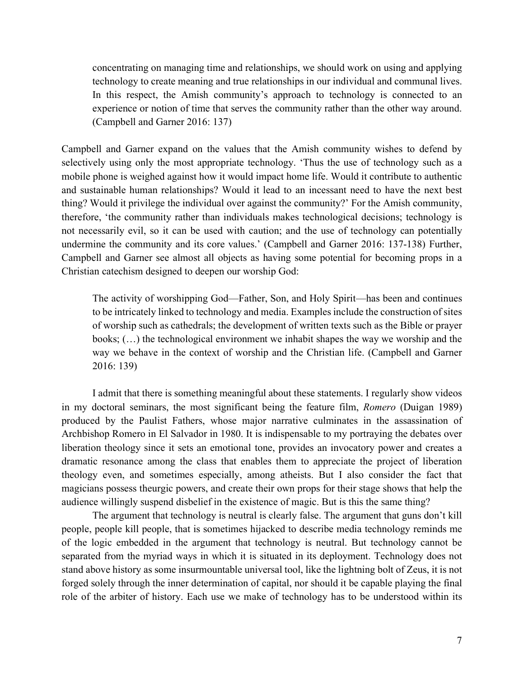concentrating on managing time and relationships, we should work on using and applying technology to create meaning and true relationships in our individual and communal lives. In this respect, the Amish community's approach to technology is connected to an experience or notion of time that serves the community rather than the other way around. (Campbell and Garner 2016: 137)

Campbell and Garner expand on the values that the Amish community wishes to defend by selectively using only the most appropriate technology. 'Thus the use of technology such as a mobile phone is weighed against how it would impact home life. Would it contribute to authentic and sustainable human relationships? Would it lead to an incessant need to have the next best thing? Would it privilege the individual over against the community?' For the Amish community, therefore, 'the community rather than individuals makes technological decisions; technology is not necessarily evil, so it can be used with caution; and the use of technology can potentially undermine the community and its core values.' (Campbell and Garner 2016: 137-138) Further, Campbell and Garner see almost all objects as having some potential for becoming props in a Christian catechism designed to deepen our worship God:

The activity of worshipping God—Father, Son, and Holy Spirit—has been and continues to be intricately linked to technology and media. Examples include the construction of sites of worship such as cathedrals; the development of written texts such as the Bible or prayer books; (…) the technological environment we inhabit shapes the way we worship and the way we behave in the context of worship and the Christian life. (Campbell and Garner 2016: 139)

I admit that there is something meaningful about these statements. I regularly show videos in my doctoral seminars, the most significant being the feature film, *Romero* (Duigan 1989) produced by the Paulist Fathers, whose major narrative culminates in the assassination of Archbishop Romero in El Salvador in 1980. It is indispensable to my portraying the debates over liberation theology since it sets an emotional tone, provides an invocatory power and creates a dramatic resonance among the class that enables them to appreciate the project of liberation theology even, and sometimes especially, among atheists. But I also consider the fact that magicians possess theurgic powers, and create their own props for their stage shows that help the audience willingly suspend disbelief in the existence of magic. But is this the same thing?

The argument that technology is neutral is clearly false. The argument that guns don't kill people, people kill people, that is sometimes hijacked to describe media technology reminds me of the logic embedded in the argument that technology is neutral. But technology cannot be separated from the myriad ways in which it is situated in its deployment. Technology does not stand above history as some insurmountable universal tool, like the lightning bolt of Zeus, it is not forged solely through the inner determination of capital, nor should it be capable playing the final role of the arbiter of history. Each use we make of technology has to be understood within its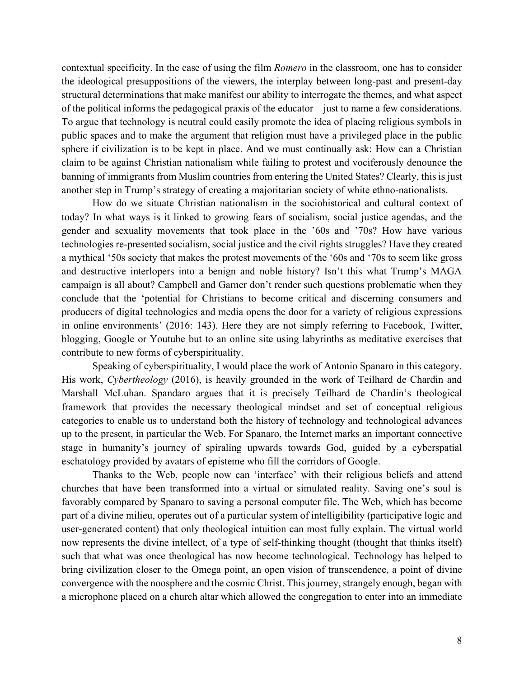contextual specificity. In the case of using the film *Romero* in the classroom, one has to consider the ideological presuppositions of the viewers, the interplay between long-past and present-day structural determinations that make manifest our ability to interrogate the themes, and what aspect of the political informs the pedagogical praxis of the educator—just to name a few considerations. To argue that technology is neutral could easily promote the idea of placing religious symbols in public spaces and to make the argument that religion must have a privileged place in the public sphere if civilization is to be kept in place. And we must continually ask: How can a Christian claim to be against Christian nationalism while failing to protest and vociferously denounce the banning of immigrants from Muslim countries from entering the United States? Clearly, this is just another step in Trump's strategy of creating a majoritarian society of white ethno-nationalists.

How do we situate Christian nationalism in the sociohistorical and cultural context of today? In what ways is it linked to growing fears of socialism, social justice agendas, and the gender and sexuality movements that took place in the '60s and '70s? How have various technologies re-presented socialism, social justice and the civil rights struggles? Have they created a mythical '50s society that makes the protest movements of the '60s and '70s to seem like gross and destructive interlopers into a benign and noble history? Isn't this what Trump's MAGA campaign is all about? Campbell and Garner don't render such questions problematic when they conclude that the 'potential for Christians to become critical and discerning consumers and producers of digital technologies and media opens the door for a variety of religious expressions in online environments' (2016: 143). Here they are not simply referring to Facebook, Twitter, blogging, Google or Youtube but to an online site using labyrinths as meditative exercises that contribute to new forms of cyberspirituality.

Speaking of cyberspirituality, I would place the work of Antonio Spanaro in this category. His work, *Cybertheology* (2016), is heavily grounded in the work of Teilhard de Chardin and Marshall McLuhan. Spandaro argues that it is precisely Teilhard de Chardin's theological framework that provides the necessary theological mindset and set of conceptual religious categories to enable us to understand both the history of technology and technological advances up to the present, in particular the Web. For Spanaro, the Internet marks an important connective stage in humanity's journey of spiraling upwards towards God, guided by a cyberspatial eschatology provided by avatars of episteme who fill the corridors of Google.

Thanks to the Web, people now can 'interface' with their religious beliefs and attend churches that have been transformed into a virtual or simulated reality. Saving one's soul is favorably compared by Spanaro to saving a personal computer file. The Web, which has become part of a divine milieu, operates out of a particular system of intelligibility (participative logic and user-generated content) that only theological intuition can most fully explain. The virtual world now represents the divine intellect, of a type of self-thinking thought (thought that thinks itself) such that what was once theological has now become technological. Technology has helped to bring civilization closer to the Omega point, an open vision of transcendence, a point of divine convergence with the noosphere and the cosmic Christ. This journey, strangely enough, began with a microphone placed on a church altar which allowed the congregation to enter into an immediate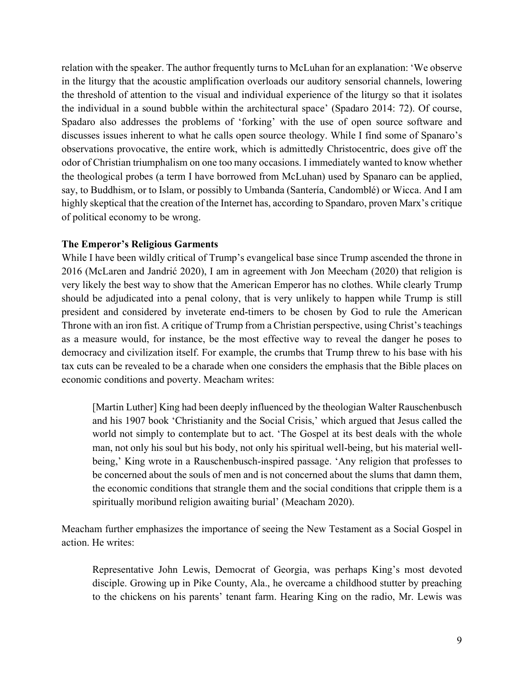relation with the speaker. The author frequently turns to McLuhan for an explanation: 'We observe in the liturgy that the acoustic amplification overloads our auditory sensorial channels, lowering the threshold of attention to the visual and individual experience of the liturgy so that it isolates the individual in a sound bubble within the architectural space' (Spadaro 2014: 72). Of course, Spadaro also addresses the problems of 'forking' with the use of open source software and discusses issues inherent to what he calls open source theology. While I find some of Spanaro's observations provocative, the entire work, which is admittedly Christocentric, does give off the odor of Christian triumphalism on one too many occasions. I immediately wanted to know whether the theological probes (a term I have borrowed from McLuhan) used by Spanaro can be applied, say, to Buddhism, or to Islam, or possibly to Umbanda (Santería, Candomblé) or Wicca. And I am highly skeptical that the creation of the Internet has, according to Spandaro, proven Marx's critique of political economy to be wrong.

#### **The Emperor's Religious Garments**

While I have been wildly critical of Trump's evangelical base since Trump ascended the throne in 2016 (McLaren and Jandrić 2020), I am in agreement with Jon Meecham (2020) that religion is very likely the best way to show that the American Emperor has no clothes. While clearly Trump should be adjudicated into a penal colony, that is very unlikely to happen while Trump is still president and considered by inveterate end-timers to be chosen by God to rule the American Throne with an iron fist. A critique of Trump from a Christian perspective, using Christ's teachings as a measure would, for instance, be the most effective way to reveal the danger he poses to democracy and civilization itself. For example, the crumbs that Trump threw to his base with his tax cuts can be revealed to be a charade when one considers the emphasis that the Bible places on economic conditions and poverty. Meacham writes:

[Martin Luther] King had been deeply influenced by the theologian Walter Rauschenbusch and his 1907 book 'Christianity and the Social Crisis,' which argued that Jesus called the world not simply to contemplate but to act. 'The Gospel at its best deals with the whole man, not only his soul but his body, not only his spiritual well-being, but his material wellbeing,' King wrote in a Rauschenbusch-inspired passage. 'Any religion that professes to be concerned about the souls of men and is not concerned about the slums that damn them, the economic conditions that strangle them and the social conditions that cripple them is a spiritually moribund religion awaiting burial' (Meacham 2020).

Meacham further emphasizes the importance of seeing the New Testament as a Social Gospel in action. He writes:

Representative John Lewis, Democrat of Georgia, was perhaps King's most devoted disciple. Growing up in Pike County, Ala., he overcame a childhood stutter by preaching to the chickens on his parents' tenant farm. Hearing King on the radio, Mr. Lewis was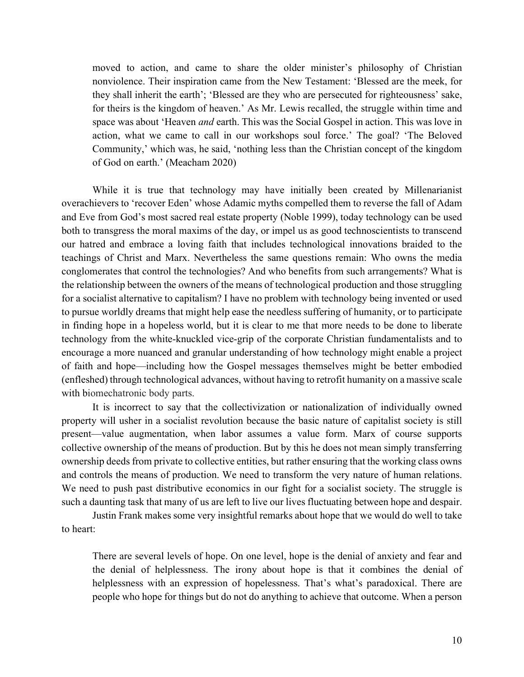moved to action, and came to share the older minister's philosophy of Christian nonviolence. Their inspiration came from the New Testament: 'Blessed are the meek, for they shall inherit the earth'; 'Blessed are they who are persecuted for righteousness' sake, for theirs is the kingdom of heaven.' As Mr. Lewis recalled, the struggle within time and space was about 'Heaven *and* earth. This was the Social Gospel in action. This was love in action, what we came to call in our workshops soul force.' The goal? 'The Beloved Community,' which was, he said, 'nothing less than the Christian concept of the kingdom of God on earth.' (Meacham 2020)

While it is true that technology may have initially been created by Millenarianist overachievers to 'recover Eden' whose Adamic myths compelled them to reverse the fall of Adam and Eve from God's most sacred real estate property (Noble 1999), today technology can be used both to transgress the moral maxims of the day, or impel us as good technoscientists to transcend our hatred and embrace a loving faith that includes technological innovations braided to the teachings of Christ and Marx. Nevertheless the same questions remain: Who owns the media conglomerates that control the technologies? And who benefits from such arrangements? What is the relationship between the owners of the means of technological production and those struggling for a socialist alternative to capitalism? I have no problem with technology being invented or used to pursue worldly dreams that might help ease the needless suffering of humanity, or to participate in finding hope in a hopeless world, but it is clear to me that more needs to be done to liberate technology from the white-knuckled vice-grip of the corporate Christian fundamentalists and to encourage a more nuanced and granular understanding of how technology might enable a project of faith and hope—including how the Gospel messages themselves might be better embodied (enfleshed) through technological advances, without having to retrofit humanity on a massive scale with biomechatronic body parts.

It is incorrect to say that the collectivization or nationalization of individually owned property will usher in a socialist revolution because the basic nature of capitalist society is still present—value augmentation, when labor assumes a value form. Marx of course supports collective ownership of the means of production. But by this he does not mean simply transferring ownership deeds from private to collective entities, but rather ensuring that the working class owns and controls the means of production. We need to transform the very nature of human relations. We need to push past distributive economics in our fight for a socialist society. The struggle is such a daunting task that many of us are left to live our lives fluctuating between hope and despair.

Justin Frank makes some very insightful remarks about hope that we would do well to take to heart:

There are several levels of hope. On one level, hope is the denial of anxiety and fear and the denial of helplessness. The irony about hope is that it combines the denial of helplessness with an expression of hopelessness. That's what's paradoxical. There are people who hope for things but do not do anything to achieve that outcome. When a person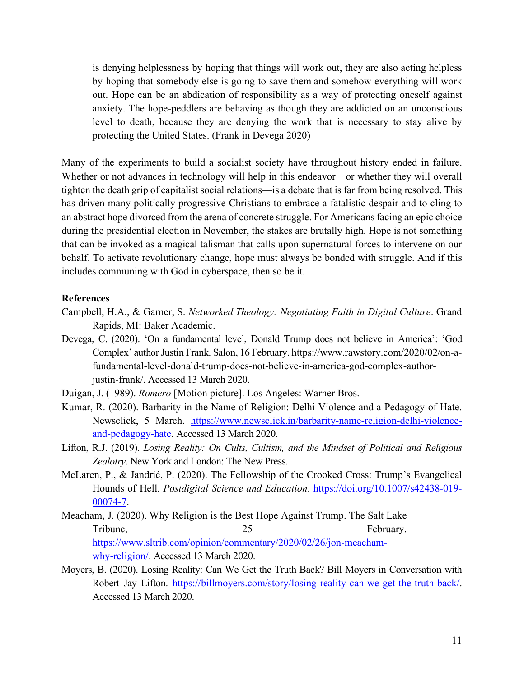is denying helplessness by hoping that things will work out, they are also acting helpless by hoping that somebody else is going to save them and somehow everything will work out. Hope can be an abdication of responsibility as a way of protecting oneself against anxiety. The hope-peddlers are behaving as though they are addicted on an unconscious level to death, because they are denying the work that is necessary to stay alive by protecting the United States. (Frank in Devega 2020)

Many of the experiments to build a socialist society have throughout history ended in failure. Whether or not advances in technology will help in this endeavor—or whether they will overall tighten the death grip of capitalist social relations—is a debate that is far from being resolved. This has driven many politically progressive Christians to embrace a fatalistic despair and to cling to an abstract hope divorced from the arena of concrete struggle. For Americans facing an epic choice during the presidential election in November, the stakes are brutally high. Hope is not something that can be invoked as a magical talisman that calls upon supernatural forces to intervene on our behalf. To activate revolutionary change, hope must always be bonded with struggle. And if this includes communing with God in cyberspace, then so be it.

#### **References**

- Campbell, H.A., & Garner, S. *Networked Theology: Negotiating Faith in Digital Culture*. Grand Rapids, MI: Baker Academic.
- Devega, C. (2020). 'On a fundamental level, Donald Trump does not believe in America': 'God Complex' author Justin Frank. Salon, 16 February[. https://www.rawstory.com/2020/02/on-a](https://www.rawstory.com/2020/02/on-a-fundamental-level-donald-trump-does-not-believe-in-america-god-complex-author-justin-frank/)[fundamental-level-donald-trump-does-not-believe-in-america-god-complex-author](https://www.rawstory.com/2020/02/on-a-fundamental-level-donald-trump-does-not-believe-in-america-god-complex-author-justin-frank/)[justin-frank/.](https://www.rawstory.com/2020/02/on-a-fundamental-level-donald-trump-does-not-believe-in-america-god-complex-author-justin-frank/) Accessed 13 March 2020.
- Duigan, J. (1989). *Romero* [Motion picture]. Los Angeles: Warner Bros.
- Kumar, R. (2020). Barbarity in the Name of Religion: Delhi Violence and a Pedagogy of Hate. Newsclick, 5 March. [https://www.newsclick.in/barbarity-name-religion-delhi-violence](https://www.newsclick.in/barbarity-name-religion-delhi-violence-and-pedagogy-hate)[and-pedagogy-hate.](https://www.newsclick.in/barbarity-name-religion-delhi-violence-and-pedagogy-hate) Accessed 13 March 2020.
- Lifton, R.J. (2019). *Losing Reality: On Cults, Cultism, and the Mindset of Political and Religious Zealotry*. New York and London: The New Press.
- McLaren, P., & Jandrić, P. (2020). The Fellowship of the Crooked Cross: Trump's Evangelical Hounds of Hell. *Postdigital Science and Education*. [https://doi.org/10.1007/s42438-019-](https://doi.org/10.1007/s42438-019-00074-7) [00074-7.](https://doi.org/10.1007/s42438-019-00074-7)
- Meacham, J. (2020). Why Religion is the Best Hope Against Trump. The Salt Lake Tribune, 25 February. [https://www.sltrib.com/opinion/commentary/2020/02/26/jon-meacham](https://www.sltrib.com/opinion/commentary/2020/02/26/jon-meacham-why-religion/)[why-religion/.](https://www.sltrib.com/opinion/commentary/2020/02/26/jon-meacham-why-religion/) Accessed 13 March 2020.
- Moyers, B. (2020). Losing Reality: Can We Get the Truth Back? Bill Moyers in Conversation with Robert Jay Lifton. [https://billmoyers.com/story/losing-reality-can-we-get-the-truth-back/.](https://billmoyers.com/story/losing-reality-can-we-get-the-truth-back/) Accessed 13 March 2020.